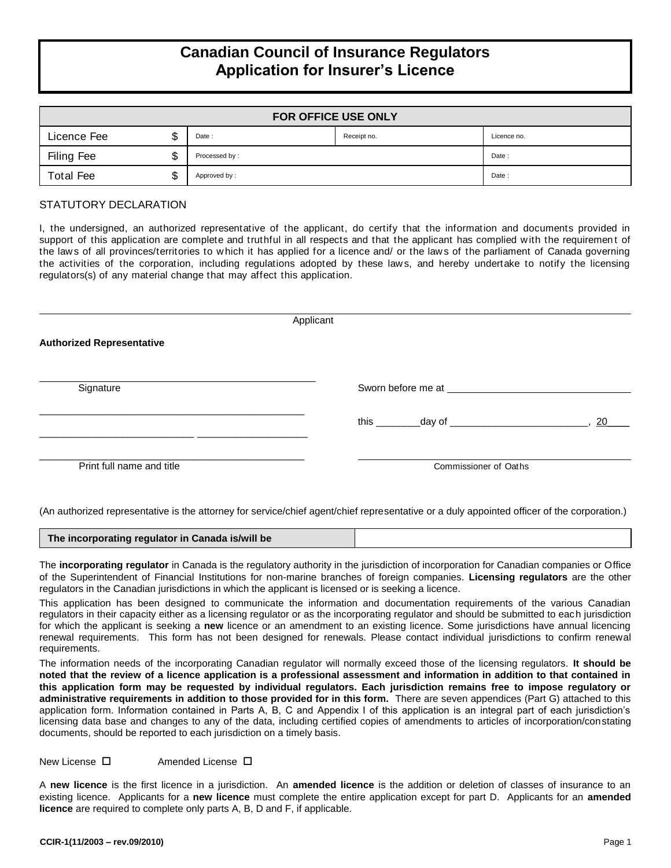# **Canadian Council of Insurance Regulators Application for Insurer's Licence**

| <b>FOR OFFICE USE ONLY</b> |  |               |             |             |  |  |  |
|----------------------------|--|---------------|-------------|-------------|--|--|--|
| Licence Fee                |  | Date:         | Receipt no. | Licence no. |  |  |  |
| Filing Fee                 |  | Processed by: |             |             |  |  |  |
| <b>Total Fee</b>           |  | Approved by:  |             | Date:       |  |  |  |

## STATUTORY DECLARATION

I, the undersigned, an authorized representative of the applicant, do certify that the information and documents provided in support of this application are complete and truthful in all respects and that the applicant has complied with the requirement of the law s of all provinces/territories to w hich it has applied for a licence and/ or the law s of the parliament of Canada governing the activities of the corporation, including regulations adopted by these law s, and hereby undertake to notify the licensing regulators(s) of any material change that may affect this application.

| Applicant                        |                                                                                                                |  |  |  |  |  |
|----------------------------------|----------------------------------------------------------------------------------------------------------------|--|--|--|--|--|
| <b>Authorized Representative</b> |                                                                                                                |  |  |  |  |  |
| Signature                        | Sworn before me at state of the state of the state of the state of the state of the Sword Sweden of the Sweden |  |  |  |  |  |
|                                  | 20                                                                                                             |  |  |  |  |  |
| Print full name and title        | Commissioner of Oaths                                                                                          |  |  |  |  |  |

(An authorized representative is the attorney for service/chief agent/chief representative or a duly appointed officer of the corporation.)

|  | The incorporating regulator in Canada is/will be |  |
|--|--------------------------------------------------|--|
|--|--------------------------------------------------|--|

The **incorporating regulator** in Canada is the regulatory authority in the jurisdiction of incorporation for Canadian companies or Office of the Superintendent of Financial Institutions for non-marine branches of foreign companies. **Licensing regulators** are the other regulators in the Canadian jurisdictions in which the applicant is licensed or is seeking a licence.

This application has been designed to communicate the information and documentation requirements of the various Canadian regulators in their capacity either as a licensing regulator or as the incorporating regulator and should be submitted to each jurisdiction for which the applicant is seeking a **new** licence or an amendment to an existing licence. Some jurisdictions have annual licencing renewal requirements. This form has not been designed for renewals. Please contact individual jurisdictions to confirm renewal requirements.

The information needs of the incorporating Canadian regulator will normally exceed those of the licensing regulators. **It should be noted that the review of a licence application is a professional assessment and information in addition to that contained in this application form may be requested by individual regulators. Each jurisdiction remains free to impose regulatory or administrative requirements in addition to those provided for in this form.** There are seven appendices (Part G) attached to this application form. Information contained in Parts A, B, C and Appendix I of this application is an integral part of each jurisdiction's licensing data base and changes to any of the data, including certified copies of amendments to articles of incorporation/constating documents, should be reported to each jurisdiction on a timely basis.

 $New License$   $\square$  Amended License  $\square$ 

A **new licence** is the first licence in a jurisdiction. An **amended licence** is the addition or deletion of classes of insurance to an existing licence. Applicants for a **new licence** must complete the entire application except for part D. Applicants for an **amended licence** are required to complete only parts A, B, D and F, if applicable.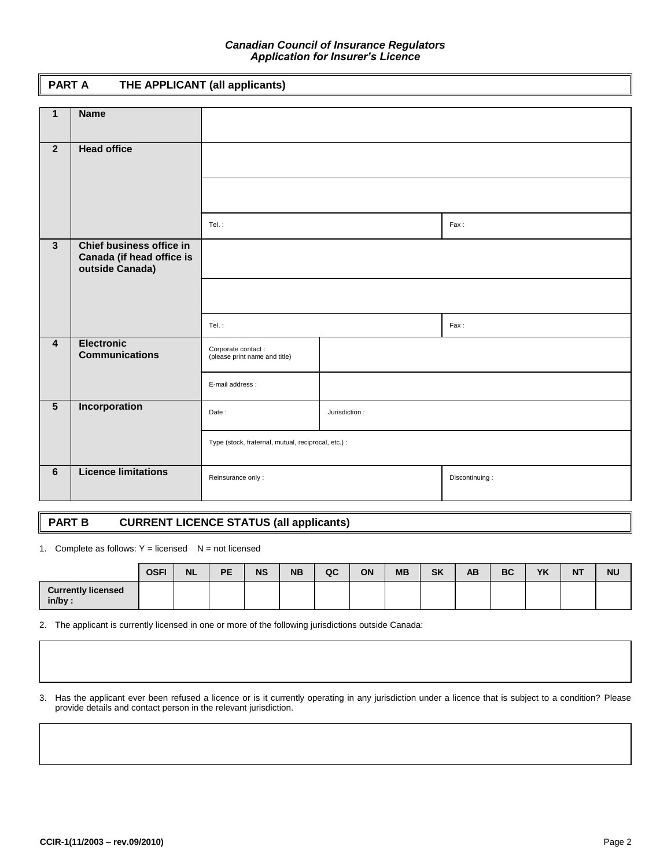### *Canadian Council of Insurance Regulators Application for Insurer's Licence*

## **PART A THE APPLICANT (all applicants)**

| $\mathbf{1}$            | <b>Name</b>                                           |                                                     |               |                |
|-------------------------|-------------------------------------------------------|-----------------------------------------------------|---------------|----------------|
|                         |                                                       |                                                     |               |                |
| 2 <sup>1</sup>          | <b>Head office</b>                                    |                                                     |               |                |
|                         |                                                       |                                                     |               |                |
|                         |                                                       |                                                     |               |                |
|                         |                                                       |                                                     |               |                |
|                         |                                                       | Tel.:                                               |               | Fax:           |
|                         |                                                       |                                                     |               |                |
| $\mathbf{3}$            | Chief business office in<br>Canada (if head office is |                                                     |               |                |
|                         | outside Canada)                                       |                                                     |               |                |
|                         |                                                       |                                                     |               |                |
|                         |                                                       |                                                     |               |                |
|                         |                                                       | Tel.:                                               |               | Fax:           |
|                         |                                                       |                                                     |               |                |
| $\overline{\mathbf{4}}$ | <b>Electronic</b><br><b>Communications</b>            | Corporate contact:<br>(please print name and title) |               |                |
|                         |                                                       |                                                     |               |                |
|                         |                                                       | E-mail address :                                    |               |                |
| $\overline{5}$          |                                                       |                                                     |               |                |
|                         | Incorporation                                         | Date:                                               | Jurisdiction: |                |
|                         |                                                       |                                                     |               |                |
|                         |                                                       | Type (stock, fraternal, mutual, reciprocal, etc.) : |               |                |
|                         |                                                       |                                                     |               |                |
| 6                       | <b>Licence limitations</b>                            | Reinsurance only:                                   |               | Discontinuing: |
|                         |                                                       |                                                     |               |                |
|                         |                                                       |                                                     |               |                |

## **PART B CURRENT LICENCE STATUS (all applicants)**

1. Complete as follows:  $Y =$  licensed  $N =$  not licensed

|                                        | <b>OSFI</b> | <b>NL</b> | PE | <b>NS</b> | <b>NB</b> | QC | ON | <b>MB</b> | <b>SK</b> | AB | <b>BC</b> | YK | <b>NT</b> | <b>NU</b> |
|----------------------------------------|-------------|-----------|----|-----------|-----------|----|----|-----------|-----------|----|-----------|----|-----------|-----------|
| <b>Currently licensed</b><br>$in/bv$ : |             |           |    |           |           |    |    |           |           |    |           |    |           |           |

2. The applicant is currently licensed in one or more of the following jurisdictions outside Canada:

3. Has the applicant ever been refused a licence or is it currently operating in any jurisdiction under a licence that is subject to a condition? Please provide details and contact person in the relevant jurisdiction.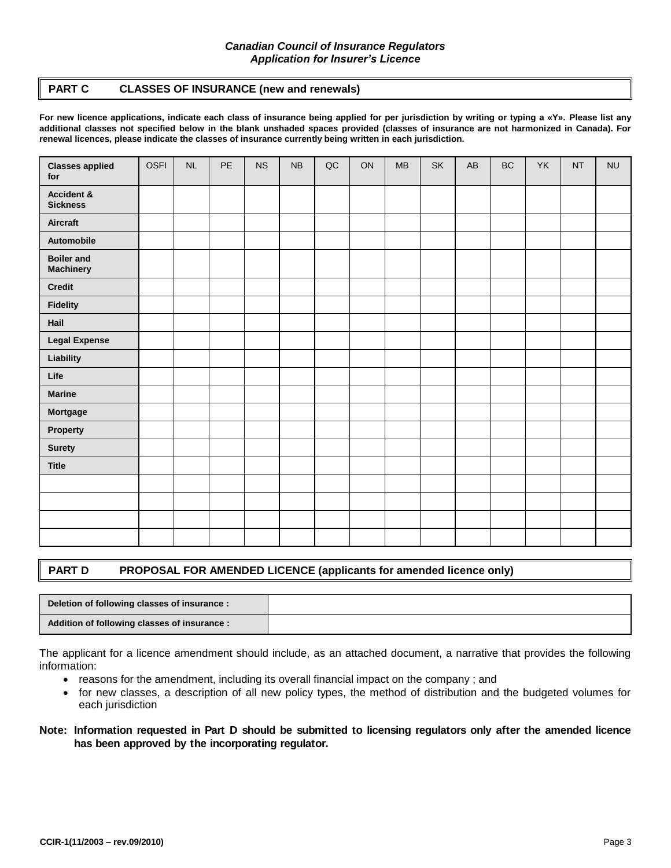## *Canadian Council of Insurance Regulators Application for Insurer's Licence*

## **PART C CLASSES OF INSURANCE (new and renewals)**

**For new licence applications, indicate each class of insurance being applied for per jurisdiction by writing or typing a «Y». Please list any additional classes not specified below in the blank unshaded spaces provided (classes of insurance are not harmonized in Canada). For renewal licences, please indicate the classes of insurance currently being written in each jurisdiction.**

| <b>Classes applied</b><br>for         | <b>OSFI</b> | NL | PE | <b>NS</b> | NB | $\sf QC$ | ON | <b>MB</b> | SK | AB | <b>BC</b> | YK | <b>NT</b> | <b>NU</b> |
|---------------------------------------|-------------|----|----|-----------|----|----------|----|-----------|----|----|-----------|----|-----------|-----------|
| Accident &<br><b>Sickness</b>         |             |    |    |           |    |          |    |           |    |    |           |    |           |           |
| <b>Aircraft</b>                       |             |    |    |           |    |          |    |           |    |    |           |    |           |           |
| Automobile                            |             |    |    |           |    |          |    |           |    |    |           |    |           |           |
| <b>Boiler and</b><br><b>Machinery</b> |             |    |    |           |    |          |    |           |    |    |           |    |           |           |
| <b>Credit</b>                         |             |    |    |           |    |          |    |           |    |    |           |    |           |           |
| <b>Fidelity</b>                       |             |    |    |           |    |          |    |           |    |    |           |    |           |           |
| Hail                                  |             |    |    |           |    |          |    |           |    |    |           |    |           |           |
| <b>Legal Expense</b>                  |             |    |    |           |    |          |    |           |    |    |           |    |           |           |
| Liability                             |             |    |    |           |    |          |    |           |    |    |           |    |           |           |
| Life                                  |             |    |    |           |    |          |    |           |    |    |           |    |           |           |
| <b>Marine</b>                         |             |    |    |           |    |          |    |           |    |    |           |    |           |           |
| Mortgage                              |             |    |    |           |    |          |    |           |    |    |           |    |           |           |
| Property                              |             |    |    |           |    |          |    |           |    |    |           |    |           |           |
| <b>Surety</b>                         |             |    |    |           |    |          |    |           |    |    |           |    |           |           |
| <b>Title</b>                          |             |    |    |           |    |          |    |           |    |    |           |    |           |           |
|                                       |             |    |    |           |    |          |    |           |    |    |           |    |           |           |
|                                       |             |    |    |           |    |          |    |           |    |    |           |    |           |           |
|                                       |             |    |    |           |    |          |    |           |    |    |           |    |           |           |
|                                       |             |    |    |           |    |          |    |           |    |    |           |    |           |           |

## **PART D PROPOSAL FOR AMENDED LICENCE (applicants for amended licence only)**

| Deletion of following classes of insurance:  |  |
|----------------------------------------------|--|
| Addition of following classes of insurance : |  |

The applicant for a licence amendment should include, as an attached document, a narrative that provides the following information:

- reasons for the amendment, including its overall financial impact on the company ; and
- for new classes, a description of all new policy types, the method of distribution and the budgeted volumes for each jurisdiction

## **Note: Information requested in Part D should be submitted to licensing regulators only after the amended licence has been approved by the incorporating regulator.**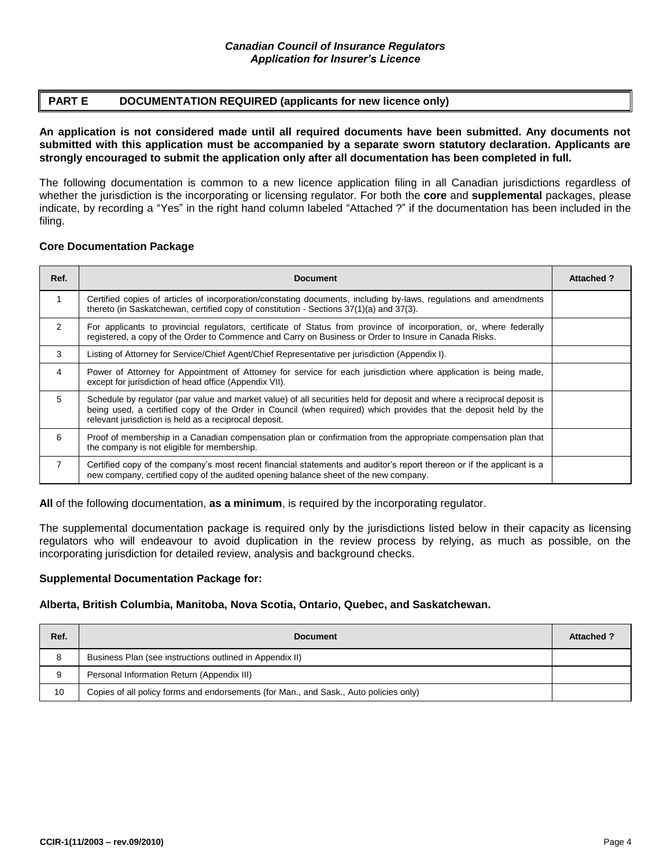## **PART E DOCUMENTATION REQUIRED (applicants for new licence only)**

**An application is not considered made until all required documents have been submitted. Any documents not submitted with this application must be accompanied by a separate sworn statutory declaration. Applicants are strongly encouraged to submit the application only after all documentation has been completed in full.**

The following documentation is common to a new licence application filing in all Canadian jurisdictions regardless of whether the jurisdiction is the incorporating or licensing regulator. For both the **core** and **supplemental** packages, please indicate, by recording a "Yes" in the right hand column labeled "Attached ?" if the documentation has been included in the filing.

## **Core Documentation Package**

| Ref.           | <b>Document</b>                                                                                                                                                                                                                                                                                       | <b>Attached?</b> |
|----------------|-------------------------------------------------------------------------------------------------------------------------------------------------------------------------------------------------------------------------------------------------------------------------------------------------------|------------------|
| $\mathbf{1}$   | Certified copies of articles of incorporation/constating documents, including by-laws, regulations and amendments<br>thereto (in Saskatchewan, certified copy of constitution - Sections 37(1)(a) and 37(3).                                                                                          |                  |
| $\mathcal{P}$  | For applicants to provincial regulators, certificate of Status from province of incorporation, or, where federally<br>registered, a copy of the Order to Commence and Carry on Business or Order to Insure in Canada Risks.                                                                           |                  |
| 3              | Listing of Attorney for Service/Chief Agent/Chief Representative per jurisdiction (Appendix I).                                                                                                                                                                                                       |                  |
| 4              | Power of Attorney for Appointment of Attorney for service for each jurisdiction where application is being made,<br>except for jurisdiction of head office (Appendix VII).                                                                                                                            |                  |
| 5              | Schedule by regulator (par value and market value) of all securities held for deposit and where a reciprocal deposit is<br>being used, a certified copy of the Order in Council (when required) which provides that the deposit held by the<br>relevant jurisdiction is held as a reciprocal deposit. |                  |
| 6              | Proof of membership in a Canadian compensation plan or confirmation from the appropriate compensation plan that<br>the company is not eligible for membership.                                                                                                                                        |                  |
| $\overline{7}$ | Certified copy of the company's most recent financial statements and auditor's report thereon or if the applicant is a<br>new company, certified copy of the audited opening balance sheet of the new company.                                                                                        |                  |

**All** of the following documentation, **as a minimum**, is required by the incorporating regulator.

The supplemental documentation package is required only by the jurisdictions listed below in their capacity as licensing regulators who will endeavour to avoid duplication in the review process by relying, as much as possible, on the incorporating jurisdiction for detailed review, analysis and background checks.

## **Supplemental Documentation Package for:**

## **Alberta, British Columbia, Manitoba, Nova Scotia, Ontario, Quebec, and Saskatchewan.**

| Ref. | <b>Document</b>                                                                       | <b>Attached?</b> |
|------|---------------------------------------------------------------------------------------|------------------|
| 8    | Business Plan (see instructions outlined in Appendix II)                              |                  |
|      | Personal Information Return (Appendix III)                                            |                  |
| 10   | Copies of all policy forms and endorsements (for Man., and Sask., Auto policies only) |                  |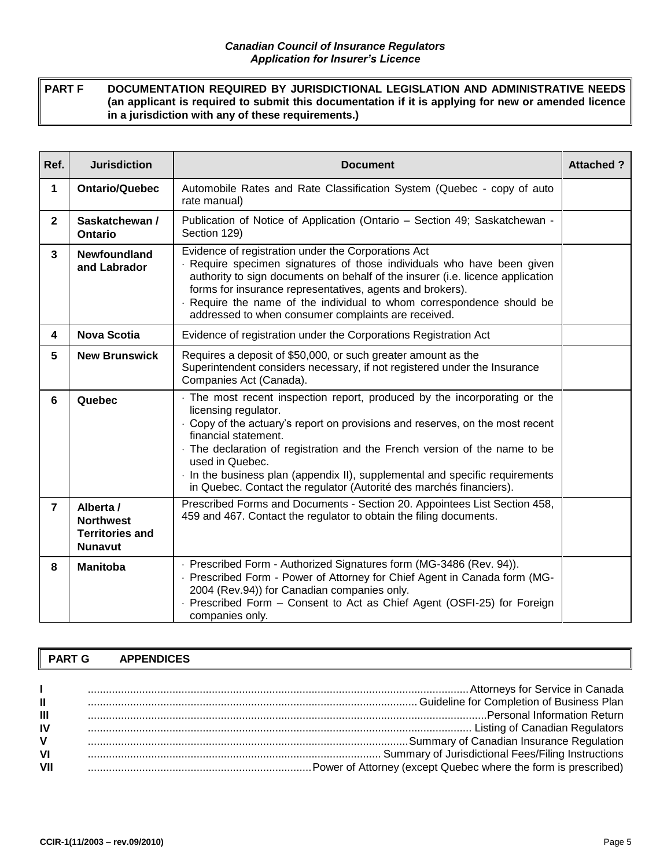**PART F DOCUMENTATION REQUIRED BY JURISDICTIONAL LEGISLATION AND ADMINISTRATIVE NEEDS (an applicant is required to submit this documentation if it is applying for new or amended licence in a jurisdiction with any of these requirements.)**

| Ref.           | <b>Jurisdiction</b>                                                       | <b>Document</b>                                                                                                                                                                                                                                                                                                                                                                                                                                            | <b>Attached?</b> |
|----------------|---------------------------------------------------------------------------|------------------------------------------------------------------------------------------------------------------------------------------------------------------------------------------------------------------------------------------------------------------------------------------------------------------------------------------------------------------------------------------------------------------------------------------------------------|------------------|
| 1              | <b>Ontario/Quebec</b>                                                     | Automobile Rates and Rate Classification System (Quebec - copy of auto<br>rate manual)                                                                                                                                                                                                                                                                                                                                                                     |                  |
| $\mathbf{2}$   | Saskatchewan /<br><b>Ontario</b>                                          | Publication of Notice of Application (Ontario - Section 49; Saskatchewan -<br>Section 129)                                                                                                                                                                                                                                                                                                                                                                 |                  |
| 3              | <b>Newfoundland</b><br>and Labrador                                       | Evidence of registration under the Corporations Act<br>Require specimen signatures of those individuals who have been given<br>authority to sign documents on behalf of the insurer (i.e. licence application<br>forms for insurance representatives, agents and brokers).<br>Require the name of the individual to whom correspondence should be<br>addressed to when consumer complaints are received.                                                   |                  |
| 4              | <b>Nova Scotia</b>                                                        | Evidence of registration under the Corporations Registration Act                                                                                                                                                                                                                                                                                                                                                                                           |                  |
| 5              | <b>New Brunswick</b>                                                      | Requires a deposit of \$50,000, or such greater amount as the<br>Superintendent considers necessary, if not registered under the Insurance<br>Companies Act (Canada).                                                                                                                                                                                                                                                                                      |                  |
| 6              | Quebec                                                                    | The most recent inspection report, produced by the incorporating or the<br>licensing regulator.<br>Copy of the actuary's report on provisions and reserves, on the most recent<br>financial statement.<br>The declaration of registration and the French version of the name to be<br>used in Quebec.<br>In the business plan (appendix II), supplemental and specific requirements<br>in Quebec. Contact the regulator (Autorité des marchés financiers). |                  |
| $\overline{7}$ | Alberta /<br><b>Northwest</b><br><b>Territories and</b><br><b>Nunavut</b> | Prescribed Forms and Documents - Section 20. Appointees List Section 458,<br>459 and 467. Contact the regulator to obtain the filing documents.                                                                                                                                                                                                                                                                                                            |                  |
| 8              | <b>Manitoba</b>                                                           | · Prescribed Form - Authorized Signatures form (MG-3486 (Rev. 94)).<br>- Prescribed Form - Power of Attorney for Chief Agent in Canada form (MG-<br>2004 (Rev.94)) for Canadian companies only.<br>Prescribed Form - Consent to Act as Chief Agent (OSFI-25) for Foreign<br>companies only.                                                                                                                                                                |                  |

## **PART G APPENDICES**

|     | manufacturery for Service in Canada in Canada and Canada in Canada in Canada in Canada in Canada in Canada in Canada                                                                                                           |
|-----|--------------------------------------------------------------------------------------------------------------------------------------------------------------------------------------------------------------------------------|
| Ш   | Guideline for Completion of Business Plan                                                                                                                                                                                      |
| Ш   |                                                                                                                                                                                                                                |
| IV  | Listing of Canadian Regulators (All and September 2014) and the material control of the material of the material control of the material control of the material control of the material control of the material control of th |
| ۷   | manufacturer of Canadian Insurance Regulation and the manufacturer of the manufacturer of the manufacturer and                                                                                                                 |
| VI  |                                                                                                                                                                                                                                |
| VII |                                                                                                                                                                                                                                |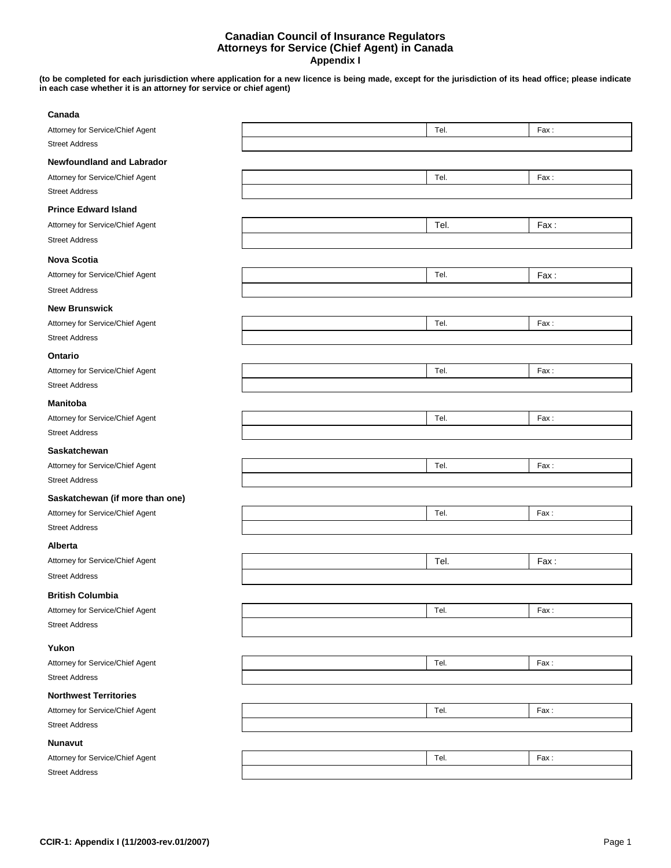#### **Canadian Council of Insurance Regulators Attorneys for Service (Chief Agent) in Canada Appendix I**

**(to be completed for each jurisdiction where application for a new licence is being made, except for the jurisdiction of its head office; please indicate in each case whether it is an attorney for service or chief agent)**

| Canada                           |      |      |
|----------------------------------|------|------|
| Attorney for Service/Chief Agent | Tel. | Fax: |
| <b>Street Address</b>            |      |      |
| <b>Newfoundland and Labrador</b> |      |      |
| Attorney for Service/Chief Agent | Tel. | Fax: |
| <b>Street Address</b>            |      |      |
| <b>Prince Edward Island</b>      |      |      |
| Attorney for Service/Chief Agent | Tel. | Fax: |
| <b>Street Address</b>            |      |      |
| <b>Nova Scotia</b>               |      |      |
| Attorney for Service/Chief Agent | Tel. | Fax: |
| <b>Street Address</b>            |      |      |
| <b>New Brunswick</b>             |      |      |
| Attorney for Service/Chief Agent | Tel. | Fax: |
| <b>Street Address</b>            |      |      |
| Ontario                          |      |      |
| Attorney for Service/Chief Agent | Tel. | Fax: |
| <b>Street Address</b>            |      |      |
| <b>Manitoba</b>                  |      |      |
| Attorney for Service/Chief Agent | Tel. | Fax: |
| <b>Street Address</b>            |      |      |
| Saskatchewan                     |      |      |
| Attorney for Service/Chief Agent | Tel. | Fax: |
| <b>Street Address</b>            |      |      |
| Saskatchewan (if more than one)  |      |      |
| Attorney for Service/Chief Agent | Tel. | Fax: |
| <b>Street Address</b>            |      |      |
| Alberta                          |      |      |
| Attorney for Service/Chief Agent | Tel. | Fax: |
| <b>Street Address</b>            |      |      |
| <b>British Columbia</b>          |      |      |
| Attorney for Service/Chief Agent | Tel. | Fax: |
| <b>Street Address</b>            |      |      |
| Yukon                            |      |      |
| Attorney for Service/Chief Agent | Tel. | Fax: |
| <b>Street Address</b>            |      |      |
| <b>Northwest Territories</b>     |      |      |
| Attorney for Service/Chief Agent | Tel. | Fax: |
| <b>Street Address</b>            |      |      |
| <b>Nunavut</b>                   |      |      |
|                                  |      |      |
| Attorney for Service/Chief Agent | Tel. | Fax: |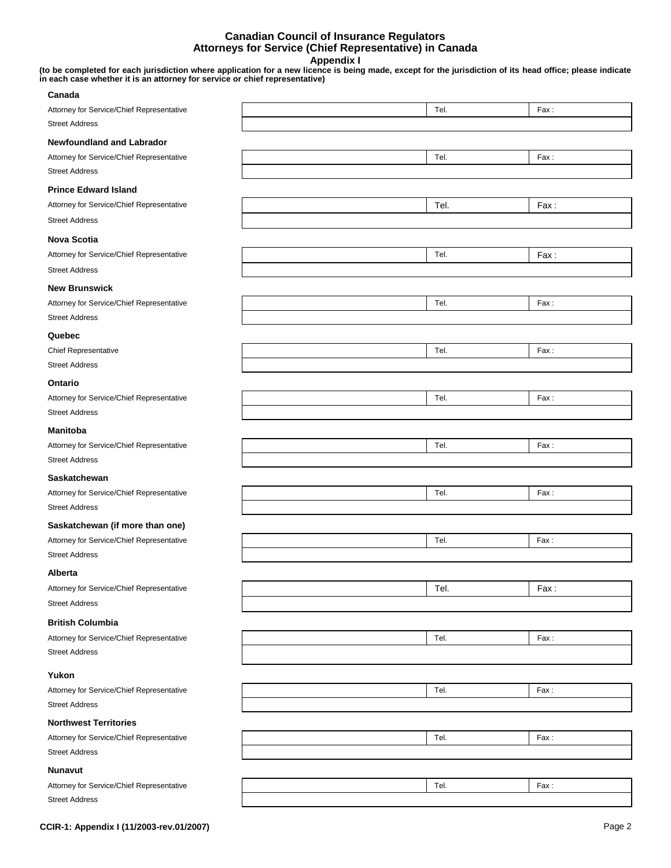#### **Canadian Council of Insurance Regulators Attorneys for Service (Chief Representative) in Canada Appendix I**

**(to be completed for each jurisdiction where application for a new licence is being made, except for the jurisdiction of its head office; please indicate in each case whether it is an attorney for service or chief representative)**

| Canada                                    |      |      |
|-------------------------------------------|------|------|
| Attorney for Service/Chief Representative | Tel. | Fax: |
| <b>Street Address</b>                     |      |      |
| <b>Newfoundland and Labrador</b>          |      |      |
| Attorney for Service/Chief Representative | Tel. | Fax: |
| <b>Street Address</b>                     |      |      |
| <b>Prince Edward Island</b>               |      |      |
| Attorney for Service/Chief Representative | Tel. | Fax: |
| <b>Street Address</b>                     |      |      |
|                                           |      |      |
| <b>Nova Scotia</b>                        |      |      |
| Attorney for Service/Chief Representative | Tel. | Fax: |
| <b>Street Address</b>                     |      |      |
| <b>New Brunswick</b>                      |      |      |
| Attorney for Service/Chief Representative | Tel. | Fax: |
| <b>Street Address</b>                     |      |      |
| Quebec                                    |      |      |
| Chief Representative                      | Tel. | Fax: |
| <b>Street Address</b>                     |      |      |
| Ontario                                   |      |      |
| Attorney for Service/Chief Representative | Tel. | Fax: |
| <b>Street Address</b>                     |      |      |
|                                           |      |      |
| <b>Manitoba</b>                           |      |      |
| Attorney for Service/Chief Representative | Tel. | Fax: |
| <b>Street Address</b>                     |      |      |
| Saskatchewan                              |      |      |
| Attorney for Service/Chief Representative | Tel. | Fax: |
| <b>Street Address</b>                     |      |      |
| Saskatchewan (if more than one)           |      |      |
| Attorney for Service/Chief Representative | Tel. | Fax: |
| <b>Street Address</b>                     |      |      |
| Alberta                                   |      |      |
| Attorney for Service/Chief Representative | Tel. | Fax: |
| <b>Street Address</b>                     |      |      |
|                                           |      |      |
| <b>British Columbia</b>                   |      |      |
| Attorney for Service/Chief Representative | Tel. | Fax: |
| <b>Street Address</b>                     |      |      |
| Yukon                                     |      |      |
| Attorney for Service/Chief Representative | Tel. | Fax: |
| <b>Street Address</b>                     |      |      |
| <b>Northwest Territories</b>              |      |      |
| Attorney for Service/Chief Representative |      |      |
| <b>Street Address</b>                     | Tel. | Fax: |
|                                           |      |      |
| <b>Nunavut</b>                            |      |      |
| Attorney for Service/Chief Representative | Tel. | Fax: |
| <b>Street Address</b>                     |      |      |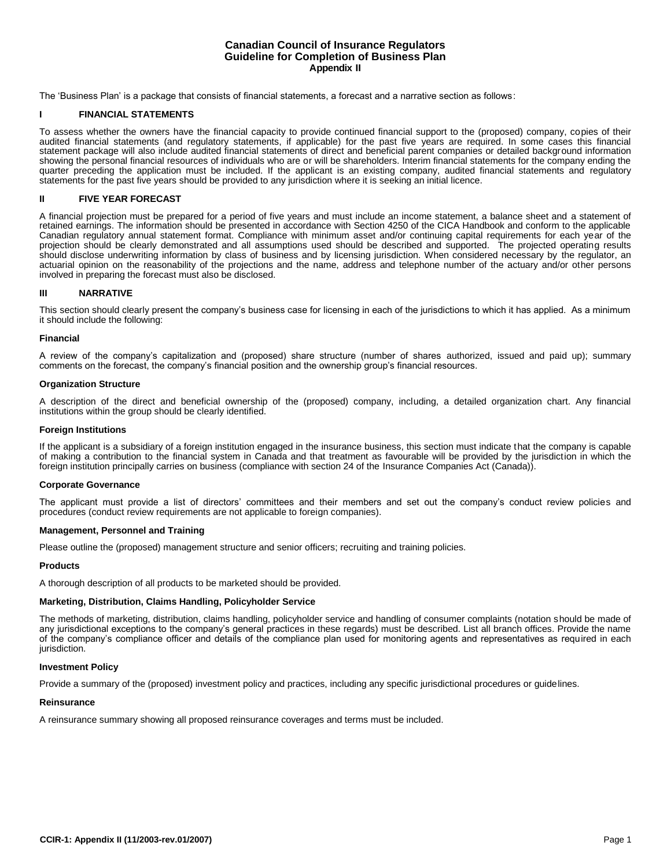#### **Canadian Council of Insurance Regulators Guideline for Completion of Business Plan Appendix II**

The 'Business Plan' is a package that consists of financial statements, a forecast and a narrative section as follows:

#### **I FINANCIAL STATEMENTS**

To assess whether the owners have the financial capacity to provide continued financial support to the (proposed) company, copies of their audited financial statements (and regulatory statements, if applicable) for the past five years are required. In some cases this financial statement package will also include audited financial statements of direct and beneficial parent companies or detailed background information showing the personal financial resources of individuals who are or will be shareholders. Interim financial statements for the company ending the quarter preceding the application must be included. If the applicant is an existing company, audited financial statements and regulatory statements for the past five years should be provided to any jurisdiction where it is seeking an initial licence.

#### **II FIVE YEAR FORECAST**

A financial projection must be prepared for a period of five years and must include an income statement, a balance sheet and a statement of retained earnings. The information should be presented in accordance with Section 4250 of the CICA Handbook and conform to the applicable Canadian regulatory annual statement format. Compliance with minimum asset and/or continuing capital requirements for each year of the projection should be clearly demonstrated and all assumptions used should be described and supported. The projected operating results should disclose underwriting information by class of business and by licensing jurisdiction. When considered necessary by the regulator, an actuarial opinion on the reasonability of the projections and the name, address and telephone number of the actuary and/or other persons involved in preparing the forecast must also be disclosed.

#### **III NARRATIVE**

This section should clearly present the company's business case for licensing in each of the jurisdictions to which it has applied. As a minimum it should include the following:

#### **Financial**

A review of the company's capitalization and (proposed) share structure (number of shares authorized, issued and paid up); summary comments on the forecast, the company's financial position and the ownership group's financial resources.

#### **Organization Structure**

A description of the direct and beneficial ownership of the (proposed) company, including, a detailed organization chart. Any financial institutions within the group should be clearly identified.

#### **Foreign Institutions**

If the applicant is a subsidiary of a foreign institution engaged in the insurance business, this section must indicate that the company is capable of making a contribution to the financial system in Canada and that treatment as favourable will be provided by the jurisdiction in which the foreign institution principally carries on business (compliance with section 24 of the Insurance Companies Act (Canada)).

#### **Corporate Governance**

The applicant must provide a list of directors' committees and their members and set out the company's conduct review policies and procedures (conduct review requirements are not applicable to foreign companies).

#### **Management, Personnel and Training**

Please outline the (proposed) management structure and senior officers; recruiting and training policies.

#### **Products**

A thorough description of all products to be marketed should be provided.

#### **Marketing, Distribution, Claims Handling, Policyholder Service**

The methods of marketing, distribution, claims handling, policyholder service and handling of consumer complaints (notation should be made of any jurisdictional exceptions to the company's general practices in these regards) must be described. List all branch offices. Provide the name of the company's compliance officer and details of the compliance plan used for monitoring agents and representatives as required in each jurisdiction.

#### **Investment Policy**

Provide a summary of the (proposed) investment policy and practices, including any specific jurisdictional procedures or guidelines.

#### **Reinsurance**

A reinsurance summary showing all proposed reinsurance coverages and terms must be included.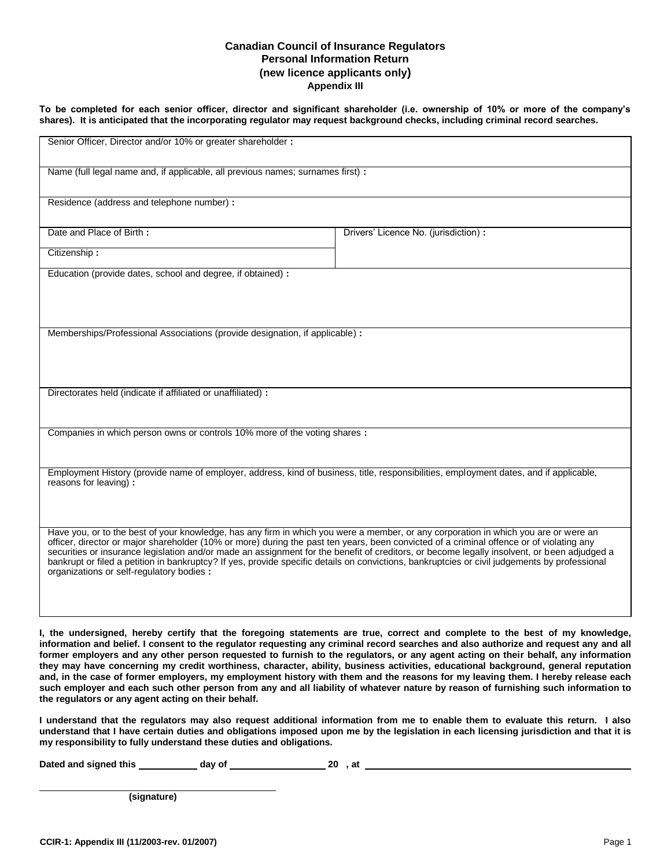### **Canadian Council of Insurance Regulators Personal Information Return (new licence applicants only) Appendix III**

**To be completed for each senior officer, director and significant shareholder (i.e. ownership of 10% or more of the company's shares). It is anticipated that the incorporating regulator may request background checks, including criminal record searches.**

| Name (full legal name and, if applicable, all previous names; surnames first) :                                                                                                                                                                                                                                                                                                                                                                                                                                                                                                                                              |                                       |  |  |  |
|------------------------------------------------------------------------------------------------------------------------------------------------------------------------------------------------------------------------------------------------------------------------------------------------------------------------------------------------------------------------------------------------------------------------------------------------------------------------------------------------------------------------------------------------------------------------------------------------------------------------------|---------------------------------------|--|--|--|
| Residence (address and telephone number) :                                                                                                                                                                                                                                                                                                                                                                                                                                                                                                                                                                                   |                                       |  |  |  |
| Date and Place of Birth:                                                                                                                                                                                                                                                                                                                                                                                                                                                                                                                                                                                                     | Drivers' Licence No. (jurisdiction) : |  |  |  |
| Citizenship:                                                                                                                                                                                                                                                                                                                                                                                                                                                                                                                                                                                                                 |                                       |  |  |  |
| Education (provide dates, school and degree, if obtained) :                                                                                                                                                                                                                                                                                                                                                                                                                                                                                                                                                                  |                                       |  |  |  |
| Memberships/Professional Associations (provide designation, if applicable) :                                                                                                                                                                                                                                                                                                                                                                                                                                                                                                                                                 |                                       |  |  |  |
| Directorates held (indicate if affiliated or unaffiliated) :                                                                                                                                                                                                                                                                                                                                                                                                                                                                                                                                                                 |                                       |  |  |  |
| Companies in which person owns or controls 10% more of the voting shares :                                                                                                                                                                                                                                                                                                                                                                                                                                                                                                                                                   |                                       |  |  |  |
| Employment History (provide name of employer, address, kind of business, title, responsibilities, employment dates, and if applicable,<br>reasons for leaving) :                                                                                                                                                                                                                                                                                                                                                                                                                                                             |                                       |  |  |  |
| Have you, or to the best of your knowledge, has any firm in which you were a member, or any corporation in which you are or were an<br>officer, director or major shareholder (10% or more) during the past ten years, been convicted of a criminal offence or of violating any<br>securities or insurance legislation and/or made an assignment for the benefit of creditors, or become legally insolvent, or been adjudged a<br>bankrupt or filed a petition in bankruptcy? If yes, provide specific details on convictions, bankruptcies or civil judgements by professional<br>organizations or self-regulatory bodies : |                                       |  |  |  |

**I, the undersigned, hereby certify that the foregoing statements are true, correct and complete to the best of my knowledge, information and belief. I consent to the regulator requesting any criminal record searches and also authorize and request any and all former employers and any other person requested to furnish to the regulators, or any agent acting on their behalf, any information they may have concerning my credit worthiness, character, ability, business activities, educational background, general reputation and, in the case of former employers, my employment history with them and the reasons for my leaving them. I hereby release each such employer and each such other person from any and all liability of whatever nature by reason of furnishing such information to the regulators or any agent acting on their behalf.**

**I understand that the regulators may also request additional information from me to enable them to evaluate this return. I also understand that I have certain duties and obligations imposed upon me by the legislation in each licensing jurisdiction and that it is my responsibility to fully understand these duties and obligations.**

**Dated and signed this day of 20 , at** 

 **(signature)**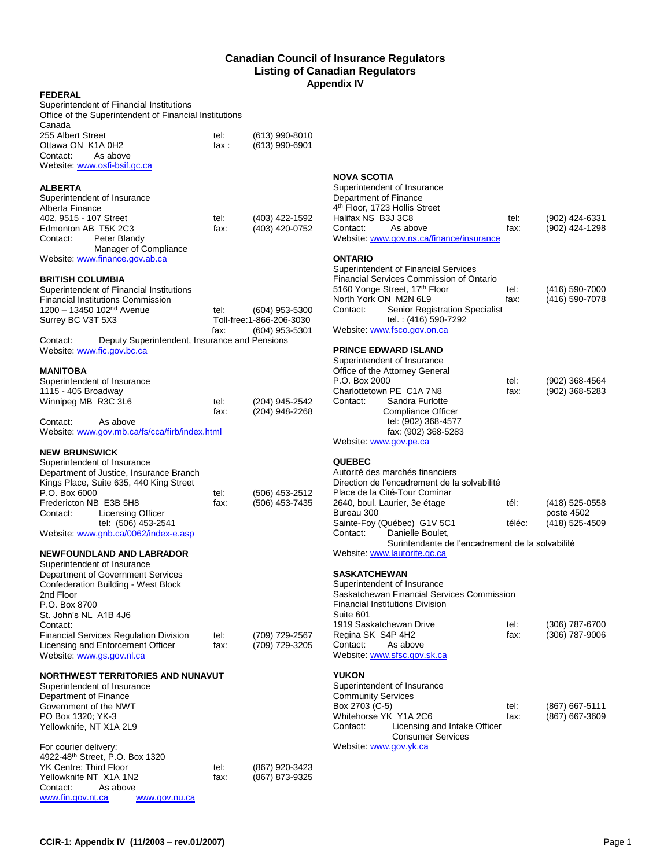#### **Canadian Council of Insurance Regulators Listing of Canadian Regulators Appendix IV**

#### **FEDERAL**

| Superintendent of Financial Institutions                                                                                                                                                                                                                            |              |                                  |
|---------------------------------------------------------------------------------------------------------------------------------------------------------------------------------------------------------------------------------------------------------------------|--------------|----------------------------------|
| Office of the Superintendent of Financial Institutions                                                                                                                                                                                                              |              |                                  |
| Canada                                                                                                                                                                                                                                                              |              |                                  |
| 255 Albert Street                                                                                                                                                                                                                                                   | tel:         | (613) 990-8010                   |
| Ottawa ON K1A 0H2                                                                                                                                                                                                                                                   | fax :        | $(613)$ 990-6901                 |
| Contact:<br>As above                                                                                                                                                                                                                                                |              |                                  |
| Website: www.osfi-bsif.gc.ca                                                                                                                                                                                                                                        |              |                                  |
|                                                                                                                                                                                                                                                                     |              |                                  |
| ALBERTA                                                                                                                                                                                                                                                             |              |                                  |
| Superintendent of Insurance                                                                                                                                                                                                                                         |              |                                  |
| Alberta Finance                                                                                                                                                                                                                                                     |              |                                  |
| 402, 9515 - 107 Street                                                                                                                                                                                                                                              | tel:         | (403) 422-1592                   |
| Edmonton AB T5K 2C3                                                                                                                                                                                                                                                 | fax:         | (403) 420-0752                   |
| Contact:<br>Peter Blandy                                                                                                                                                                                                                                            |              |                                  |
| Manager of Compliance                                                                                                                                                                                                                                               |              |                                  |
| Website: www.finance.gov.ab.ca                                                                                                                                                                                                                                      |              |                                  |
|                                                                                                                                                                                                                                                                     |              |                                  |
| <b>BRITISH COLUMBIA</b>                                                                                                                                                                                                                                             |              |                                  |
| Superintendent of Financial Institutions                                                                                                                                                                                                                            |              |                                  |
| <b>Financial Institutions Commission</b>                                                                                                                                                                                                                            |              |                                  |
| 1200 - 13450 102 <sup>nd</sup> Avenue                                                                                                                                                                                                                               | tel:         | $(604)$ 953-5300                 |
| Surrey BC V3T 5X3                                                                                                                                                                                                                                                   |              | Toll-free: 1-866-206-3030        |
|                                                                                                                                                                                                                                                                     | fax:         | $(604)$ 953-5301                 |
| Contact:<br>Deputy Superintendent, Insurance and Pensions                                                                                                                                                                                                           |              |                                  |
| Website: www.fic.gov.bc.ca                                                                                                                                                                                                                                          |              |                                  |
| MANITOBA                                                                                                                                                                                                                                                            |              |                                  |
| Superintendent of Insurance                                                                                                                                                                                                                                         |              |                                  |
| 1115 - 405 Broadway                                                                                                                                                                                                                                                 |              |                                  |
| Winnipeg MB R3C 3L6                                                                                                                                                                                                                                                 | tel:         | (204) 945-2542                   |
|                                                                                                                                                                                                                                                                     | fax:         | (204) 948-2268                   |
| Contact:<br>As above                                                                                                                                                                                                                                                |              |                                  |
| Website: www.gov.mb.ca/fs/cca/firb/index.html                                                                                                                                                                                                                       |              |                                  |
|                                                                                                                                                                                                                                                                     |              |                                  |
| Superintendent of Insurance<br>Department of Justice, Insurance Branch<br>Kings Place, Suite 635, 440 King Street<br>P.O. Box 6000<br>Fredericton NB E3B 5H8<br><b>Licensing Officer</b><br>Contact:<br>tel: (506) 453-2541<br>Website: www.gnb.ca/0062/index-e.asp | tel:<br>fax: | (506) 453-2512<br>(506) 453-7435 |
|                                                                                                                                                                                                                                                                     |              |                                  |
| NEWFOUNDLAND AND LABRADOR<br>Superintendent of Insurance                                                                                                                                                                                                            |              |                                  |
| Department of Government Services                                                                                                                                                                                                                                   |              |                                  |
| Confederation Building - West Block                                                                                                                                                                                                                                 |              |                                  |
| 2nd Floor                                                                                                                                                                                                                                                           |              |                                  |
| P.O. Box 8700                                                                                                                                                                                                                                                       |              |                                  |
| St. John's NL A1B 4J6                                                                                                                                                                                                                                               |              |                                  |
| Contact:                                                                                                                                                                                                                                                            |              |                                  |
| <b>Financial Services Regulation Division</b>                                                                                                                                                                                                                       | tel:         | (709) 729-2567                   |
| Licensing and Enforcement Officer                                                                                                                                                                                                                                   | fax:         | (709) 729-3205                   |
| Website: www.gs.gov.nl.ca                                                                                                                                                                                                                                           |              |                                  |
|                                                                                                                                                                                                                                                                     |              |                                  |
| <b>NORTHWEST TERRITORIES AND NUNAVUT</b>                                                                                                                                                                                                                            |              |                                  |
| Superintendent of Insurance                                                                                                                                                                                                                                         |              |                                  |
| Department of Finance                                                                                                                                                                                                                                               |              |                                  |
| Government of the NWT                                                                                                                                                                                                                                               |              |                                  |
| PO Box 1320; YK-3<br>Yellowknife, NT X1A 2L9                                                                                                                                                                                                                        |              |                                  |
|                                                                                                                                                                                                                                                                     |              |                                  |
| For courier delivery:                                                                                                                                                                                                                                               |              |                                  |
| 4922-48 <sup>th</sup> Street, P.O. Box 1320                                                                                                                                                                                                                         |              |                                  |
| YK Centre; Third Floor                                                                                                                                                                                                                                              | tel:         | (867) 920-3423                   |
| Yellowknife NT X1A 1N2                                                                                                                                                                                                                                              | fax:         | (867) 873-9325                   |
| Contact:<br>As above                                                                                                                                                                                                                                                |              |                                  |
| www.fin.gov.nt.ca<br>www.gov.nu.ca                                                                                                                                                                                                                                  |              |                                  |

## **NOVA SCOTIA**

| Superintendent of Insurance<br>Department of Finance<br>4th Floor, 1723 Hollis Street<br>Halifax NS B3J 3C8<br>Contact:<br>As above<br>Website: www.gov.ns.ca/finance/insurance                                                                                               | tel:<br>fax:   | (902) 424-6331<br>(902) 424-1298               |
|-------------------------------------------------------------------------------------------------------------------------------------------------------------------------------------------------------------------------------------------------------------------------------|----------------|------------------------------------------------|
| <b>ONTARIO</b><br>Superintendent of Financial Services<br>Financial Services Commission of Ontario<br>5160 Yonge Street, 17th Floor<br>North York ON M2N 6L9<br>Senior Registration Specialist<br>Contact:<br>tel.: (416) 590-7292<br>Website: www.fsco.gov.on.ca             | tel:<br>fax:   | (416) 590-7000<br>(416) 590-7078               |
| <b>PRINCE EDWARD ISLAND</b><br>Superintendent of Insurance<br>Office of the Attorney General<br>P.O. Box 2000<br>Charlottetown PE C1A 7N8<br>Sandra Furlotte<br>Contact:<br><b>Compliance Officer</b><br>tel: (902) 368-4577<br>fax: (902) 368-5283<br>Website: www.gov.pe.ca | tel:<br>fax:   | (902) 368-4564<br>(902) 368-5283               |
| <b>QUEBEC</b><br>Autorité des marchés financiers<br>Direction de l'encadrement de la solvabilité<br>Place de la Cité-Tour Cominar<br>2640, boul. Laurier, 3e étage<br>Bureau 300<br>Sainte-Foy (Québec) G1V 5C1                                                               | tél:<br>téléc: | (418) 525-0558<br>poste 4502<br>(418) 525-4509 |
| Danielle Boulet,<br>Contact:<br>Surintendante de l'encadrement de la solvabilité<br>Website: www.lautorite.gc.ca                                                                                                                                                              |                |                                                |
| SASKATCHEWAN<br>Superintendent of Insurance<br>Saskatchewan Financial Services Commission<br><b>Financial Institutions Division</b><br>Suite 601                                                                                                                              |                |                                                |
| 1919 Saskatchewan Drive<br>Regina SK S4P 4H2<br>Contact:<br>As above<br>Website: www.sfsc.gov.sk.ca                                                                                                                                                                           | tel:<br>fax:   | (306) 787-6700<br>(306) 787-9006               |
| <b>YUKON</b><br>Superintendent of Insurance<br><b>Community Services</b><br>Box 2703 (C-5)<br>Whitehorse YK Y1A 2C6<br>Licensing and Intake Officer<br>Contact:<br><b>Consumer Services</b><br>Website: www.gov.yk.ca                                                         | tel:<br>fax:   | (867) 667-5111<br>(867) 667-3609               |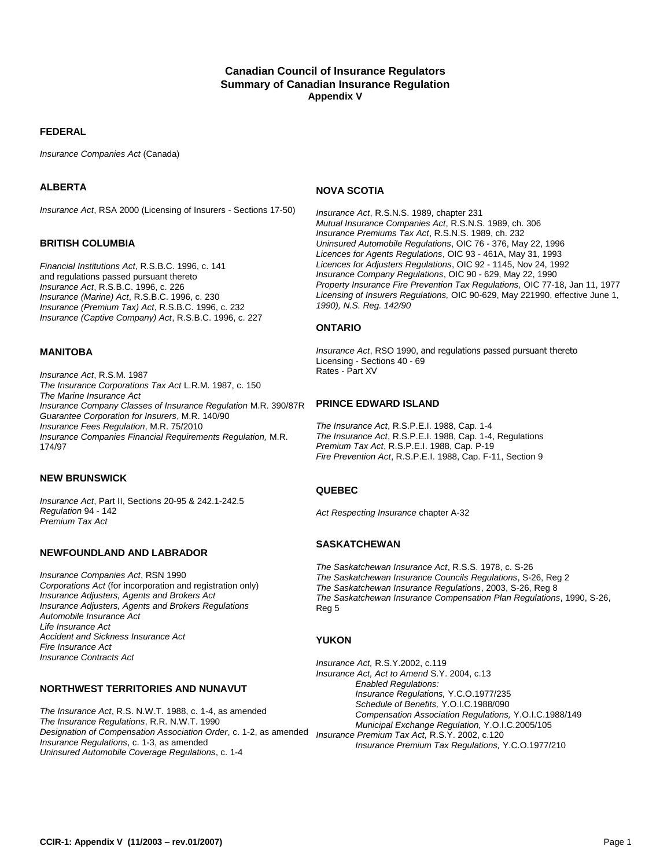## **Canadian Council of Insurance Regulators Summary of Canadian Insurance Regulation Appendix V**

#### **FEDERAL**

*Insurance Companies Act* (Canada)

#### **ALBERTA**

*Insurance Act*, RSA 2000 (Licensing of Insurers - Sections 17-50)

#### **BRITISH COLUMBIA**

*Financial Institutions Act*, R.S.B.C. 1996, c. 141 and regulations passed pursuant thereto *Insurance Act*, R.S.B.C. 1996, c. 226 *Insurance (Marine) Act*, R.S.B.C. 1996, c. 230 *Insurance (Premium Tax) Act*, R.S.B.C. 1996, c. 232 *Insurance (Captive Company) Act*, R.S.B.C. 1996, c. 227

### **MANITOBA**

*Insurance Act*, R.S.M. 1987 *The Insurance Corporations Tax Act* L.R.M. 1987, c. 150 *The Marine Insurance Act Insurance Company Classes of Insurance Regulation* M.R. 390/87R *Guarantee Corporation for Insurers*, M.R. 140/90 *Insurance Fees Regulation*, M.R. 75/2010 *Insurance Companies Financial Requirements Regulation,* M.R. 174/97

### **NEW BRUNSWICK**

*Insurance Act*, Part II, Sections 20-95 & 242.1-242.5 *Regulation* 94 - 142 *Premium Tax Act*

#### **NEWFOUNDLAND AND LABRADOR**

*Insurance Companies Act*, RSN 1990 *Corporations Act* (for incorporation and registration only) *Insurance Adjusters, Agents and Brokers Act Insurance Adjusters, Agents and Brokers Regulations Automobile Insurance Act Life Insurance Act Accident and Sickness Insurance Act Fire Insurance Act Insurance Contracts Act*

#### **NORTHWEST TERRITORIES AND NUNAVUT**

*The Insurance Act*, R.S. N.W.T. 1988, c. 1-4, as amended *The Insurance Regulations*, R.R. N.W.T. 1990 *Designation of Compensation Association Order*, c. 1-2, as amended *Insurance Premium Tax Act,* R.S.Y. 2002, c.120 *Insurance Regulations*, c. 1-3, as amended *Uninsured Automobile Coverage Regulations*, c. 1-4

#### **NOVA SCOTIA**

*Insurance Act*, R.S.N.S. 1989, chapter 231 *Mutual Insurance Companies Act*, R.S.N.S. 1989, ch. 306 *Insurance Premiums Tax Act*, R.S.N.S. 1989, ch. 232 *Uninsured Automobile Regulations*, OIC 76 - 376, May 22, 1996 *Licences for Agents Regulations*, OIC 93 - 461A, May 31, 1993 *Licences for Adjusters Regulations*, OIC 92 - 1145, Nov 24, 1992 *Insurance Company Regulations*, OIC 90 - 629, May 22, 1990 *Property Insurance Fire Prevention Tax Regulations,* OIC 77-18, Jan 11, 1977 *Licensing of Insurers Regulations,* OIC 90-629, May 221990, effective June 1, *1990), N.S. Reg. 142/90*

#### **ONTARIO**

*Insurance Act*, RSO 1990, and regulations passed pursuant thereto Licensing - Sections 40 - 69 Rates - Part XV

## **PRINCE EDWARD ISLAND**

*The Insurance Act*, R.S.P.E.I. 1988, Cap. 1-4 *The Insurance Act*, R.S.P.E.I. 1988, Cap. 1-4, Regulations *Premium Tax Act*, R.S.P.E.I. 1988, Cap. P-19 *Fire Prevention Act*, R.S.P.E.I. 1988, Cap. F-11, Section 9

#### **QUEBEC**

*Act Respecting Insurance* chapter A-32

#### **SASKATCHEWAN**

*The Saskatchewan Insurance Act*, R.S.S. 1978, c. S-26 *The Saskatchewan Insurance Councils Regulations*, S-26, Reg 2 *The Saskatchewan Insurance Regulations*, 2003, S-26, Reg 8 *The Saskatchewan Insurance Compensation Plan Regulations*, 1990, S-26, Reg 5

#### **YUKON**

*Insurance Act,* R.S.Y.2002, c.119 *Insurance Act, Act to Amend* S.Y. 2004, c.13 *Enabled Regulations: Insurance Regulations,* Y.C.O.1977/235 *Schedule of Benefits,* Y.O.I.C.1988/090 *Compensation Association Regulations,* Y.O.I.C.1988/149 *Municipal Exchange Regulation,* Y.O.I.C.2005/105 *Insurance Premium Tax Regulations,* Y.C.O.1977/210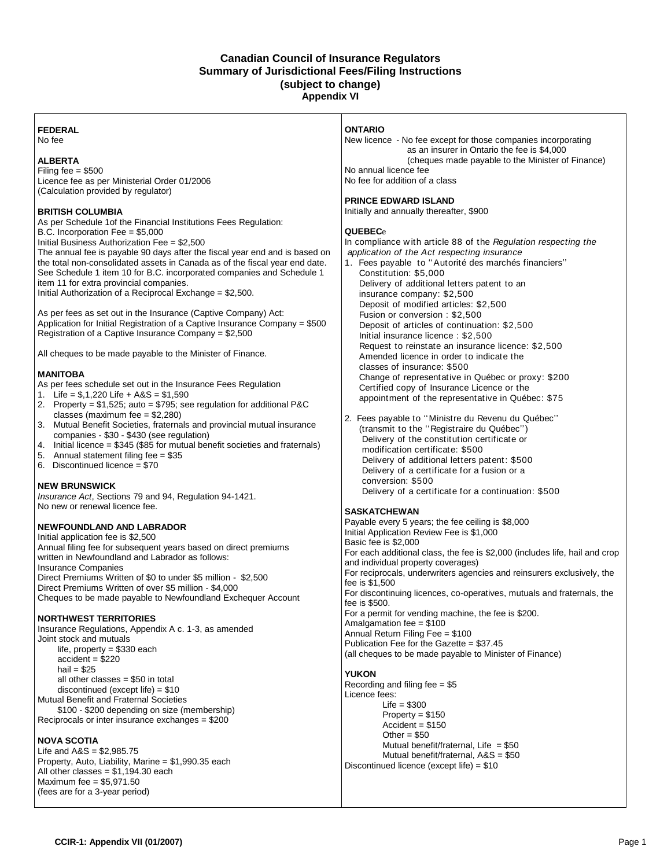### **Canadian Council of Insurance Regulators Summary of Jurisdictional Fees/Filing Instructions (subject to change) Appendix VI**

#### **FEDERAL** No fee

## **ALBERTA**

Filing fee  $= $500$ Licence fee as per Ministerial Order 01/2006 (Calculation provided by regulator)

### **BRITISH COLUMBIA**

As per Schedule 1of the Financial Institutions Fees Regulation: B.C. Incorporation Fee = \$5,000

Initial Business Authorization Fee = \$2,500

The annual fee is payable 90 days after the fiscal year end and is based on the total non-consolidated assets in Canada as of the fiscal year end date. See Schedule 1 item 10 for B.C. incorporated companies and Schedule 1 item 11 for extra provincial companies.

Initial Authorization of a Reciprocal Exchange = \$2,500.

As per fees as set out in the Insurance (Captive Company) Act: Application for Initial Registration of a Captive Insurance Company = \$500 Registration of a Captive Insurance Company = \$2,500

All cheques to be made payable to the Minister of Finance.

## **MANITOBA**

As per fees schedule set out in the Insurance Fees Regulation

- 1. Life = \$,1,220 Life + A&S = \$1,590
- 2. Property = \$1,525; auto = \$795; see regulation for additional P&C classes (maximum fee = \$2,280)
- 3. Mutual Benefit Societies, fraternals and provincial mutual insurance companies - \$30 - \$430 (see regulation)
- 4. Initial licence = \$345 (\$85 for mutual benefit societies and fraternals)
- 5. Annual statement filing fee = \$35
- 6. Discontinued licence = \$70

## **NEW BRUNSWICK**

*Insurance Act*, Sections 79 and 94, Regulation 94-1421. No new or renewal licence fee.

## **NEWFOUNDLAND AND LABRADOR**

Initial application fee is \$2,500 Annual filing fee for subsequent years based on direct premiums written in Newfoundland and Labrador as follows: Insurance Companies Direct Premiums Written of \$0 to under \$5 million - \$2,500 Direct Premiums Written of over \$5 million - \$4,000 Cheques to be made payable to Newfoundland Exchequer Account

## **NORTHWEST TERRITORIES**

Insurance Regulations, Appendix A c. 1-3, as amended Joint stock and mutuals

life, property = \$330 each accident = \$220 hail  $= $25$ all other classes = \$50 in total discontinued (except life) = \$10 Mutual Benefit and Fraternal Societies \$100 - \$200 depending on size (membership) Reciprocals or inter insurance exchanges = \$200

## **NOVA SCOTIA**

Life and  $A&S = $2,985.75$ Property, Auto, Liability, Marine = \$1,990.35 each All other classes =  $$1,194.30$  each Maximum fee = \$5,971.50 (fees are for a 3-year period)

#### **ONTARIO**

New licence - No fee except for those companies incorporating as an insurer in Ontario the fee is \$4,000 (cheques made payable to the Minister of Finance) No annual licence fee No fee for addition of a class

#### **PRINCE EDWARD ISLAND**

Initially and annually thereafter, \$900

#### **QUEBEC**e

In compliance w ith article 88 of the *Regulation respecting the application of the Act respecting insurance* 

- 1. Fees payable to ''Autorité des marchés financiers'' Constitution: \$5,000 Delivery of additional letters patent to an insurance company: \$2,500 Deposit of modified articles: \$2,500 Fusion or conversion : \$2,500 Deposit of articles of continuation: \$2,500 Initial insurance licence : \$2,500 Request to reinstate an insurance licence: \$2,500 Amended licence in order to indicate the classes of insurance: \$500 Change of representative in Québec or proxy: \$200 Certified copy of Insurance Licence or the appointment of the representative in Québec: \$75
- 2. Fees payable to ''Ministre du Revenu du Québec'' (transmit to the ''Registraire du Québec'') Delivery of the constitution certificate or modification certificate: \$500 Delivery of additional letters patent: \$500 Delivery of a certificate for a fusion or a conversion: \$500 Delivery of a certificate for a continuation: \$500

## **SASKATCHEWAN**

Payable every 5 years; the fee ceiling is \$8,000 Initial Application Review Fee is \$1,000 Basic fee is \$2,000 For each additional class, the fee is \$2,000 (includes life, hail and crop and individual property coverages) For reciprocals, underwriters agencies and reinsurers exclusively, the fee is \$1,500 For discontinuing licences, co-operatives, mutuals and fraternals, the fee is \$500. For a permit for vending machine, the fee is \$200. Amalgamation fee = \$100 Annual Return Filing Fee = \$100 Publication Fee for the Gazette = \$37.45 (all cheques to be made payable to Minister of Finance)

## **YUKON**

Recording and filing fee = \$5 Licence fees:  $L$ ife = \$300 Property = \$150  $Accident = $150$ Other =  $$50$ Mutual benefit/fraternal, Life  $= $50$ Mutual benefit/fraternal, A&S = \$50 Discontinued licence (except life) = \$10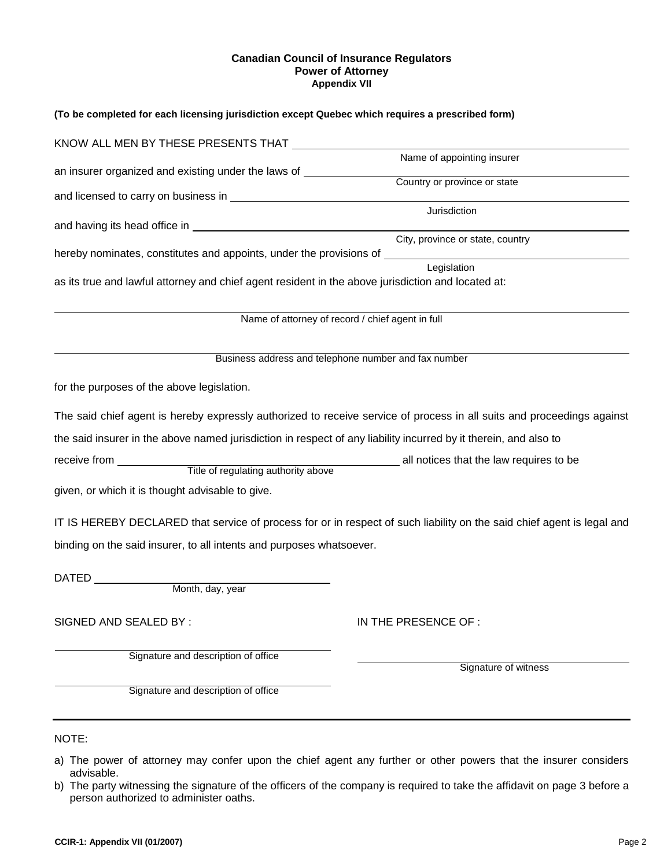#### **Canadian Council of Insurance Regulators Power of Attorney Appendix VII**

| (To be completed for each licensing jurisdiction except Quebec which requires a prescribed form)                 |                                                                                                                        |
|------------------------------------------------------------------------------------------------------------------|------------------------------------------------------------------------------------------------------------------------|
| KNOW ALL MEN BY THESE PRESENTS THAT THAT THE RESERVE AND RELATED ASSESSMENT OF A LOCAL CONTROL IN A LOCAL CONTR  |                                                                                                                        |
|                                                                                                                  | Name of appointing insurer                                                                                             |
| an insurer organized and existing under the laws of ____________________________                                 | Country or province or state                                                                                           |
|                                                                                                                  |                                                                                                                        |
|                                                                                                                  | Jurisdiction                                                                                                           |
|                                                                                                                  | City, province or state, country                                                                                       |
| hereby nominates, constitutes and appoints, under the provisions of _______________________________              |                                                                                                                        |
|                                                                                                                  | Legislation                                                                                                            |
| as its true and lawful attorney and chief agent resident in the above jurisdiction and located at:               |                                                                                                                        |
|                                                                                                                  |                                                                                                                        |
|                                                                                                                  | Name of attorney of record / chief agent in full                                                                       |
|                                                                                                                  |                                                                                                                        |
|                                                                                                                  | Business address and telephone number and fax number                                                                   |
| for the purposes of the above legislation.                                                                       |                                                                                                                        |
|                                                                                                                  | The said chief agent is hereby expressly authorized to receive service of process in all suits and proceedings against |
| the said insurer in the above named jurisdiction in respect of any liability incurred by it therein, and also to |                                                                                                                        |
|                                                                                                                  |                                                                                                                        |
|                                                                                                                  |                                                                                                                        |
| given, or which it is thought advisable to give.                                                                 |                                                                                                                        |
|                                                                                                                  | IT IS HEREBY DECLARED that service of process for or in respect of such liability on the said chief agent is legal and |
| binding on the said insurer, to all intents and purposes whatsoever.                                             |                                                                                                                        |
|                                                                                                                  |                                                                                                                        |
| DATED Month, day, year                                                                                           |                                                                                                                        |
|                                                                                                                  |                                                                                                                        |
| SIGNED AND SEALED BY :                                                                                           | IN THE PRESENCE OF :                                                                                                   |
|                                                                                                                  |                                                                                                                        |
| Signature and description of office                                                                              |                                                                                                                        |
|                                                                                                                  | Signature of witness                                                                                                   |
| Signature and description of office                                                                              |                                                                                                                        |
|                                                                                                                  |                                                                                                                        |
| NOTE:                                                                                                            |                                                                                                                        |
|                                                                                                                  |                                                                                                                        |

a) The power of attorney may confer upon the chief agent any further or other powers that the insurer considers advisable.

b) The party witnessing the signature of the officers of the company is required to take the affidavit on page 3 before a person authorized to administer oaths.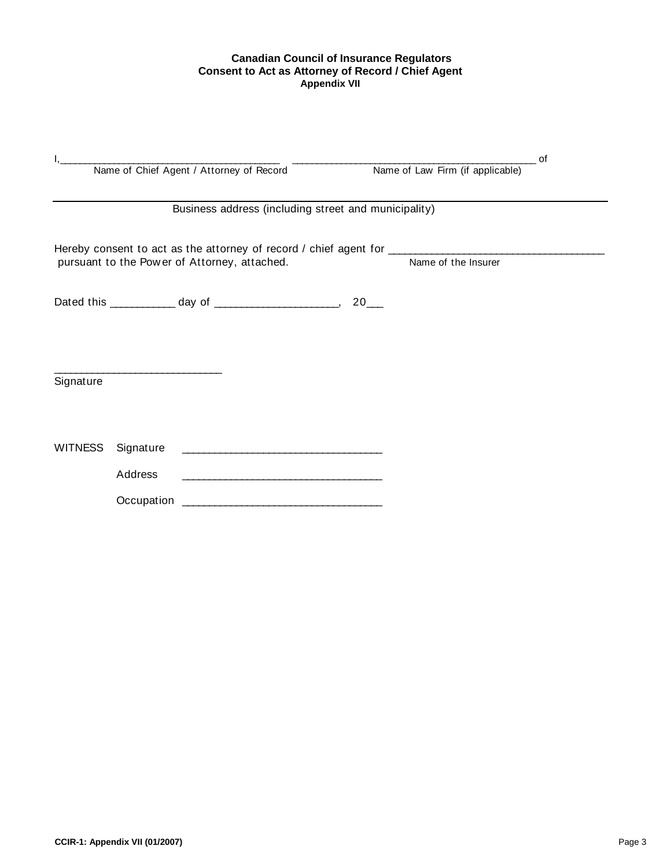## **Canadian Council of Insurance Regulators Consent to Act as Attorney of Record / Chief Agent Appendix VII**

|                |           |                                                      |                                  | 0f |
|----------------|-----------|------------------------------------------------------|----------------------------------|----|
|                |           | Name of Chief Agent / Attorney of Record             | Name of Law Firm (if applicable) |    |
|                |           |                                                      |                                  |    |
|                |           | Business address (including street and municipality) |                                  |    |
|                |           |                                                      |                                  |    |
|                |           | pursuant to the Power of Attorney, attached.         | Name of the Insurer              |    |
|                |           |                                                      |                                  |    |
|                |           |                                                      |                                  |    |
|                |           |                                                      |                                  |    |
| Signature      |           |                                                      |                                  |    |
|                |           |                                                      |                                  |    |
| <b>WITNESS</b> | Signature |                                                      |                                  |    |
|                | Address   |                                                      |                                  |    |
|                |           |                                                      |                                  |    |
|                |           |                                                      |                                  |    |